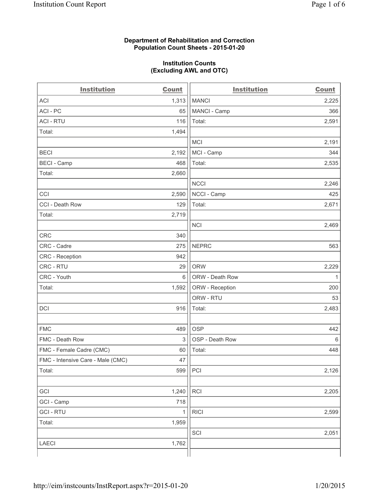### **Department of Rehabilitation and Correction Population Count Sheets - 2015-01-20**

### **Institution Counts (Excluding AWL and OTC)**

| <b>Institution</b>                | <b>Count</b> | <b>Institution</b> | <b>Count</b> |
|-----------------------------------|--------------|--------------------|--------------|
| <b>ACI</b>                        | 1,313        | <b>MANCI</b>       | 2,225        |
| ACI-PC                            | 65           | MANCI - Camp       | 366          |
| <b>ACI - RTU</b>                  | 116          | Total:             | 2,591        |
| Total:                            | 1,494        |                    |              |
|                                   |              | <b>MCI</b>         | 2,191        |
| <b>BECI</b>                       | 2,192        | MCI - Camp         | 344          |
| <b>BECI - Camp</b>                | 468          | Total:             | 2,535        |
| Total:                            | 2,660        |                    |              |
|                                   |              | <b>NCCI</b>        | 2,246        |
| CCI                               | 2,590        | NCCI - Camp        | 425          |
| CCI - Death Row                   | 129          | Total:             | 2,671        |
| Total:                            | 2,719        |                    |              |
|                                   |              | <b>NCI</b>         | 2,469        |
| <b>CRC</b>                        | 340          |                    |              |
| CRC - Cadre                       | 275          | <b>NEPRC</b>       | 563          |
| CRC - Reception                   | 942          |                    |              |
| CRC - RTU                         | 29           | <b>ORW</b>         | 2,229        |
| CRC - Youth                       | 6            | ORW - Death Row    | 1            |
| Total:                            | 1,592        | ORW - Reception    | 200          |
|                                   |              | ORW - RTU          | 53           |
| DCI                               | 916          | Total:             | 2,483        |
|                                   |              |                    |              |
| <b>FMC</b>                        | 489          | <b>OSP</b>         | 442          |
| FMC - Death Row                   | 3            | OSP - Death Row    | 6            |
| FMC - Female Cadre (CMC)          | 60           | Total:             | 448          |
| FMC - Intensive Care - Male (CMC) | 47           |                    |              |
| Total:                            | 599          | PCI                | 2,126        |
|                                   |              |                    |              |
| GCI                               | 1,240        | RCI                | 2,205        |
| GCI - Camp                        | 718          |                    |              |
| <b>GCI-RTU</b>                    | 1            | <b>RICI</b>        | 2,599        |
| Total:                            | 1,959        |                    |              |
|                                   |              | SCI                | 2,051        |
| LAECI                             | 1,762        |                    |              |
|                                   |              |                    |              |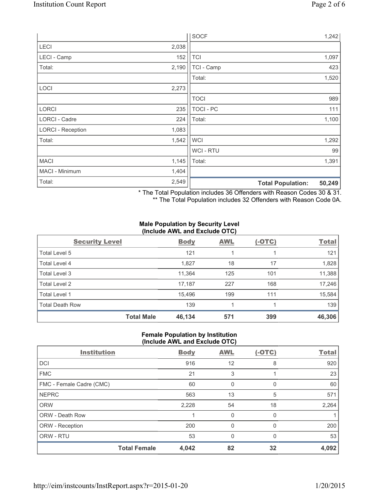|                          |       | <b>SOCF</b>      | 1,242                              |
|--------------------------|-------|------------------|------------------------------------|
| <b>LECI</b>              | 2,038 |                  |                                    |
| LECI - Camp              | 152   | <b>TCI</b>       | 1,097                              |
| Total:                   | 2,190 | TCI - Camp       | 423                                |
|                          |       | Total:           | 1,520                              |
| <b>LOCI</b>              | 2,273 |                  |                                    |
|                          |       | <b>TOCI</b>      | 989                                |
| <b>LORCI</b>             | 235   | <b>TOCI - PC</b> | 111                                |
| LORCI - Cadre            | 224   | Total:           | 1,100                              |
| <b>LORCI - Reception</b> | 1,083 |                  |                                    |
| Total:                   | 1,542 | <b>WCI</b>       | 1,292                              |
|                          |       | <b>WCI-RTU</b>   | 99                                 |
| <b>MACI</b>              | 1,145 | Total:           | 1,391                              |
| MACI - Minimum           | 1,404 |                  |                                    |
| Total:                   | 2,549 |                  | <b>Total Population:</b><br>50,249 |

\* The Total Population includes 36 Offenders with Reason Codes 30 & 31. \*\* The Total Population includes 32 Offenders with Reason Code 0A.

## **Male Population by Security Level (Include AWL and Exclude OTC)**

| <b>Security Level</b>  |                   | <b>Body</b> | <b>AWL</b> | $(-OTC)$ | <b>Total</b> |
|------------------------|-------------------|-------------|------------|----------|--------------|
| Total Level 5          |                   | 121         | 1          |          | 121          |
| <b>Total Level 4</b>   |                   | 1,827       | 18         | 17       | 1,828        |
| Total Level 3          |                   | 11,364      | 125        | 101      | 11,388       |
| Total Level 2          |                   | 17,187      | 227        | 168      | 17,246       |
| Total Level 1          |                   | 15,496      | 199        | 111      | 15,584       |
| <b>Total Death Row</b> |                   | 139         |            |          | 139          |
|                        | <b>Total Male</b> | 46,134      | 571        | 399      | 46,306       |

#### **Female Population by Institution (Include AWL and Exclude OTC)**

|                          |                     |             | --------<br>---- |          |              |
|--------------------------|---------------------|-------------|------------------|----------|--------------|
| <b>Institution</b>       |                     | <b>Body</b> | <b>AWL</b>       | $(-OTC)$ | <b>Total</b> |
| <b>DCI</b>               |                     | 916         | 12               | 8        | 920          |
| <b>FMC</b>               |                     | 21          | 3                |          | 23           |
| FMC - Female Cadre (CMC) |                     | 60          | 0                | 0        | 60           |
| <b>NEPRC</b>             |                     | 563         | 13               | 5        | 571          |
| <b>ORW</b>               |                     | 2,228       | 54               | 18       | 2,264        |
| <b>ORW - Death Row</b>   |                     |             | 0                | 0        |              |
| ORW - Reception          |                     | 200         | 0                | 0        | 200          |
| ORW - RTU                |                     | 53          | 0                | U        | 53           |
|                          | <b>Total Female</b> | 4,042       | 82               | 32       | 4,092        |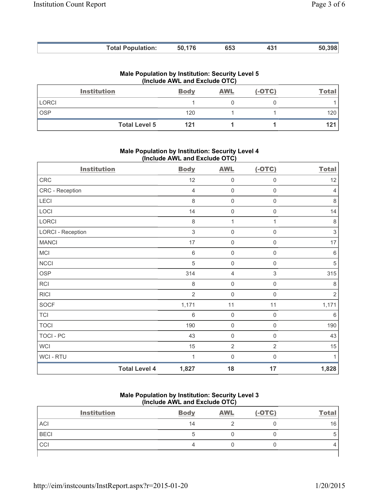| <b>Total Population:</b> | 50.176 | 653 | 43 <sup>1</sup> | 50.398 |
|--------------------------|--------|-----|-----------------|--------|

| Male Population by Institution: Security Level 5 |
|--------------------------------------------------|
| (Include AWL and Exclude OTC)                    |

|              | <b>Institution</b>   | <b>Body</b> | <b>AWL</b> | $(-OTC)$ | <u>Total</u> |
|--------------|----------------------|-------------|------------|----------|--------------|
| <b>LORCI</b> |                      |             |            |          |              |
| <b>OSP</b>   |                      | 120         |            |          | 120          |
|              | <b>Total Level 5</b> | 121         |            |          |              |

**Male Population by Institution: Security Level 4 (Include AWL and Exclude OTC)** 

| <b>Institution</b>       |                      | <b>Body</b>    | <b>AWL</b>          | $(-OTC)$       | <b>Total</b>   |
|--------------------------|----------------------|----------------|---------------------|----------------|----------------|
| <b>CRC</b>               |                      | 12             | 0                   | $\mathbf 0$    | 12             |
| CRC - Reception          |                      | $\overline{4}$ | $\mathsf{O}\xspace$ | $\mathbf 0$    | 4              |
| LECI                     |                      | 8              | $\mathsf{O}\xspace$ | $\mathbf 0$    | $\,8\,$        |
| LOCI                     |                      | 14             | $\mathsf{O}\xspace$ | $\mathbf 0$    | 14             |
| LORCI                    |                      | 8              | $\mathbf{1}$        | 1              | 8              |
| <b>LORCI - Reception</b> |                      | $\mathfrak{S}$ | 0                   | $\mathbf 0$    | $\sqrt{3}$     |
| <b>MANCI</b>             |                      | 17             | $\mathsf{O}\xspace$ | $\mathbf 0$    | 17             |
| MCI                      |                      | $\,6$          | $\mathsf{O}\xspace$ | $\mathbf 0$    | 6              |
| <b>NCCI</b>              |                      | $\sqrt{5}$     | 0                   | $\mathbf 0$    | $\sqrt{5}$     |
| <b>OSP</b>               |                      | 314            | 4                   | 3              | 315            |
| <b>RCI</b>               |                      | 8              | 0                   | $\mathbf 0$    | 8              |
| <b>RICI</b>              |                      | $\overline{2}$ | $\mathbf 0$         | $\mathbf 0$    | $\overline{2}$ |
| <b>SOCF</b>              |                      | 1,171          | 11                  | 11             | 1,171          |
| <b>TCI</b>               |                      | 6              | 0                   | $\mathbf 0$    | 6              |
| <b>TOCI</b>              |                      | 190            | $\mathsf{O}\xspace$ | $\mathbf 0$    | 190            |
| <b>TOCI - PC</b>         |                      | 43             | $\mathsf{O}\xspace$ | $\mathbf 0$    | 43             |
| <b>WCI</b>               |                      | 15             | $\overline{2}$      | $\overline{2}$ | 15             |
| <b>WCI - RTU</b>         |                      | 1              | $\mathbf 0$         | $\mathbf 0$    | 1              |
|                          | <b>Total Level 4</b> | 1,827          | 18                  | 17             | 1,828          |

# **Male Population by Institution: Security Level 3 (Include AWL and Exclude OTC)**

|             | <b>Institution</b> | <b>Body</b> | <b>AWL</b> | $(-OTC)$ | <b>Total</b> |
|-------------|--------------------|-------------|------------|----------|--------------|
| <b>ACI</b>  |                    | 14          |            |          | 16           |
| <b>BECI</b> |                    | b           |            |          |              |
| CCI         |                    |             |            |          |              |
|             |                    |             |            |          |              |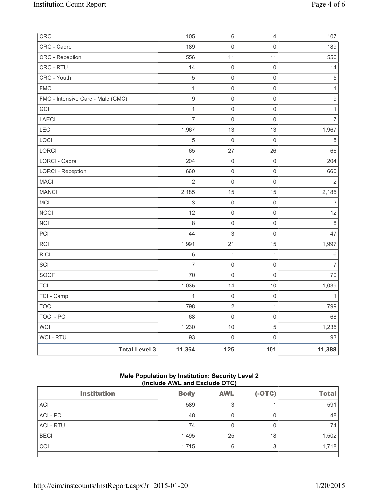| CRC                               |                      | 105              | $\,6\,$                   | 4                   | 107                       |
|-----------------------------------|----------------------|------------------|---------------------------|---------------------|---------------------------|
| CRC - Cadre                       |                      | 189              | $\mathsf{O}\xspace$       | 0                   | 189                       |
| CRC - Reception                   |                      | 556              | 11                        | 11                  | 556                       |
| CRC - RTU                         |                      | 14               | $\mathsf{O}\xspace$       | $\mathsf 0$         | 14                        |
| CRC - Youth                       |                      | $\sqrt{5}$       | $\mathsf{O}\xspace$       | $\mathsf{O}\xspace$ | $\sqrt{5}$                |
| <b>FMC</b>                        |                      | $\mathbf 1$      | $\mathsf{O}\xspace$       | $\mathbf 0$         | $\mathbf{1}$              |
| FMC - Intensive Care - Male (CMC) |                      | $\boldsymbol{9}$ | $\mathsf{O}\xspace$       | $\mathbf 0$         | $\boldsymbol{9}$          |
| GCI                               |                      | $\mathbf{1}$     | $\mathsf{O}\xspace$       | $\mathsf 0$         | 1                         |
| LAECI                             |                      | $\overline{7}$   | $\mathsf{O}\xspace$       | $\mathsf{O}\xspace$ | $\overline{7}$            |
| LECI                              |                      | 1,967            | 13                        | 13                  | 1,967                     |
| LOCI                              |                      | 5                | $\mathbf 0$               | $\mathsf{O}\xspace$ | 5                         |
| LORCI                             |                      | 65               | 27                        | 26                  | 66                        |
| LORCI - Cadre                     |                      | 204              | $\mathsf{O}\xspace$       | $\mathsf{O}\xspace$ | 204                       |
| <b>LORCI - Reception</b>          |                      | 660              | $\mathsf{O}\xspace$       | $\mathsf{O}\xspace$ | 660                       |
| <b>MACI</b>                       |                      | $\overline{2}$   | $\mathsf{O}\xspace$       | $\mathsf{O}\xspace$ | $\overline{2}$            |
| <b>MANCI</b>                      |                      | 2,185            | 15                        | 15                  | 2,185                     |
| <b>MCI</b>                        |                      | 3                | $\boldsymbol{0}$          | $\mathsf{O}\xspace$ | $\ensuremath{\mathsf{3}}$ |
| <b>NCCI</b>                       |                      | 12               | 0                         | $\mathsf{O}\xspace$ | 12                        |
| <b>NCI</b>                        |                      | 8                | $\mathsf{O}\xspace$       | $\mathbf 0$         | $\,8\,$                   |
| PCI                               |                      | 44               | $\ensuremath{\mathsf{3}}$ | $\mathsf{O}\xspace$ | 47                        |
| <b>RCI</b>                        |                      | 1,991            | 21                        | 15                  | 1,997                     |
| <b>RICI</b>                       |                      | $\,6$            | $\mathbf{1}$              | $\mathbf{1}$        | $\,6\,$                   |
| SCI                               |                      | $\overline{7}$   | $\mathsf{O}\xspace$       | $\mathsf{O}\xspace$ | $\overline{7}$            |
| SOCF                              |                      | 70               | $\mathbf 0$               | $\mathsf{O}\xspace$ | 70                        |
| <b>TCI</b>                        |                      | 1,035            | 14                        | 10                  | 1,039                     |
| TCI - Camp                        |                      | 1                | $\mathsf{O}\xspace$       | $\mathbf 0$         | 1                         |
| <b>TOCI</b>                       |                      | 798              | $\mathbf 2$               | $\mathbf{1}$        | 799                       |
| <b>TOCI - PC</b>                  |                      | 68               | $\mathbf 0$               | $\mathsf 0$         | 68                        |
| <b>WCI</b>                        |                      | 1,230            | 10                        | 5                   | 1,235                     |
| WCI - RTU                         |                      | 93               | $\mathbf 0$               | $\mathsf 0$         | 93                        |
|                                   | <b>Total Level 3</b> | 11,364           | 125                       | 101                 | 11,388                    |

## **Male Population by Institution: Security Level 2 (Include AWL and Exclude OTC)**

| <b>Institution</b> | <b>Body</b> | <b>AWL</b> | $(-OTC)$ | <b>Total</b> |
|--------------------|-------------|------------|----------|--------------|
| <b>ACI</b>         | 589         |            |          | 591          |
| ACI - PC           | 48          |            | 0        | 48           |
| <b>ACI - RTU</b>   | 74          |            | 0        | 74           |
| <b>BECI</b>        | 1,495       | 25         | 18       | 1,502        |
| CCI                | 1,715       | 6          | 3        | 1,718        |
|                    |             |            |          |              |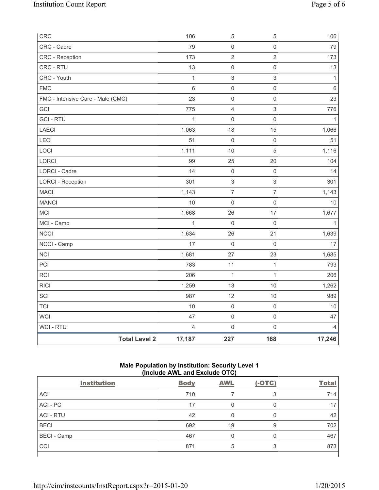| CRC                               |                      | 106            | $\,$ 5 $\,$               | $\sqrt{5}$                | 106            |
|-----------------------------------|----------------------|----------------|---------------------------|---------------------------|----------------|
| CRC - Cadre                       |                      | 79             | $\mathsf{O}\xspace$       | $\mathsf 0$               | 79             |
| CRC - Reception                   |                      | 173            | $\sqrt{2}$                | $\overline{2}$            | 173            |
| CRC - RTU                         |                      | 13             | $\mathsf{O}\xspace$       | $\mathsf 0$               | 13             |
| CRC - Youth                       |                      | $\mathbf 1$    | $\ensuremath{\mathsf{3}}$ | $\mathfrak{S}$            | $\mathbf{1}$   |
| <b>FMC</b>                        |                      | $\,6$          | $\mathsf{O}\xspace$       | $\mathsf 0$               | $\,6\,$        |
| FMC - Intensive Care - Male (CMC) |                      | 23             | $\mathsf{O}\xspace$       | $\mathsf{O}\xspace$       | 23             |
| GCI                               |                      | 775            | $\overline{4}$            | $\,$ 3 $\,$               | 776            |
| <b>GCI - RTU</b>                  |                      | $\mathbf{1}$   | $\mathbf 0$               | $\mathsf{O}\xspace$       | $\mathbf{1}$   |
| LAECI                             |                      | 1,063          | 18                        | 15                        | 1,066          |
| LECI                              |                      | 51             | $\mathsf{O}\xspace$       | $\mathsf{O}\xspace$       | 51             |
| LOCI                              |                      | 1,111          | 10                        | 5                         | 1,116          |
| LORCI                             |                      | 99             | 25                        | 20                        | 104            |
| <b>LORCI - Cadre</b>              |                      | 14             | $\mathsf{O}\xspace$       | $\mathsf 0$               | 14             |
| <b>LORCI - Reception</b>          |                      | 301            | $\ensuremath{\mathsf{3}}$ | $\ensuremath{\mathsf{3}}$ | 301            |
| <b>MACI</b>                       |                      | 1,143          | $\overline{7}$            | $\overline{7}$            | 1,143          |
| <b>MANCI</b>                      |                      | 10             | $\mathsf{O}\xspace$       | $\mathsf{O}\xspace$       | $10$           |
| MCI                               |                      | 1,668          | 26                        | 17                        | 1,677          |
| MCI - Camp                        |                      | $\mathbf{1}$   | $\mathbf 0$               | $\mathsf 0$               | $\mathbf{1}$   |
| NCCI                              |                      | 1,634          | 26                        | 21                        | 1,639          |
| NCCI - Camp                       |                      | 17             | $\mathsf{O}\xspace$       | $\mathsf{O}\xspace$       | 17             |
| <b>NCI</b>                        |                      | 1,681          | 27                        | 23                        | 1,685          |
| PCI                               |                      | 783            | 11                        | $\mathbf{1}$              | 793            |
| <b>RCI</b>                        |                      | 206            | $\mathbf 1$               | $\mathbf{1}$              | 206            |
| <b>RICI</b>                       |                      | 1,259          | 13                        | 10                        | 1,262          |
| SCI                               |                      | 987            | 12                        | 10                        | 989            |
| <b>TCI</b>                        |                      | 10             | $\mathsf{O}\xspace$       | $\mathsf{O}\xspace$       | 10             |
| WCI                               |                      | 47             | $\mathsf{O}\xspace$       | $\mathsf{O}\xspace$       | 47             |
| WCI - RTU                         |                      | $\overline{4}$ | $\mathsf{O}$              | $\mathsf{O}\xspace$       | $\overline{4}$ |
|                                   | <b>Total Level 2</b> | 17,187         | 227                       | 168                       | 17,246         |

# **Male Population by Institution: Security Level 1 (Include AWL and Exclude OTC)**

| <b>Institution</b> | <b>Body</b> | <b>AWL</b> | $(-OTC)$ | <b>Total</b> |  |  |  |
|--------------------|-------------|------------|----------|--------------|--|--|--|
| <b>ACI</b>         | 710         |            | 3        | 714          |  |  |  |
| ACI - PC           | 17          | 0          | 0        | 17           |  |  |  |
| <b>ACI - RTU</b>   | 42          | 0          | 0        | 42           |  |  |  |
| <b>BECI</b>        | 692         | 19         | 9        | 702          |  |  |  |
| <b>BECI</b> - Camp | 467         | 0          | 0        | 467          |  |  |  |
| CCI                | 871         | 5          | ີ        | 873          |  |  |  |
|                    |             |            |          |              |  |  |  |